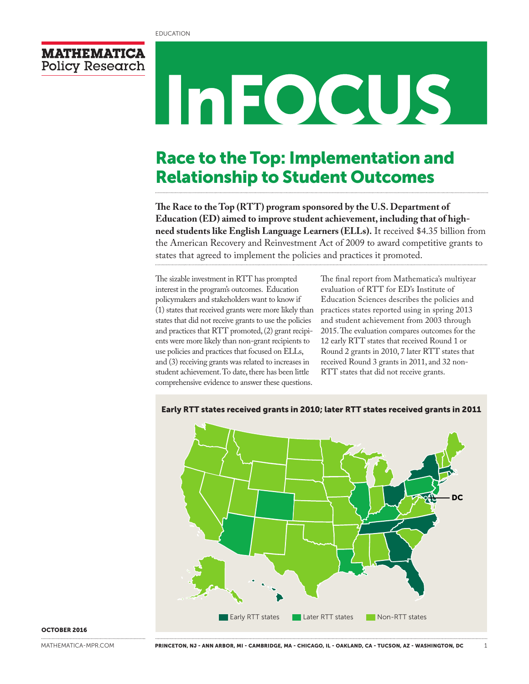

# InFOCUS

## Race to the Top: Implementation and Relationship to Student Outcomes

**The Race to the Top (RTT) program sponsored by the U.S. Department of Education (ED) aimed to improve student achievement, including that of highneed students like English Language Learners (ELLs).** It received \$4.35 billion from the American Recovery and Reinvestment Act of 2009 to award competitive grants to states that agreed to implement the policies and practices it promoted.

The sizable investment in RTT has prompted interest in the program's outcomes. Education policymakers and stakeholders want to know if (1) states that received grants were more likely than states that did not receive grants to use the policies and practices that RTT promoted, (2) grant recipients were more likely than non-grant recipients to use policies and practices that focused on ELLs, and (3) receiving grants was related to increases in student achievement. To date, there has been little comprehensive evidence to answer these questions.

The final report from Mathematica's multiyear evaluation of RTT for ED's Institute of Education Sciences describes the policies and practices states reported using in spring 2013 and student achievement from 2003 through 2015. The evaluation compares outcomes for the 12 early RTT states that received Round 1 or Round 2 grants in 2010, 7 later RTT states that received Round 3 grants in 2011, and 32 non-RTT states that did not receive grants.





#### OCTOBER 2016

[MATHEMATICA-MPR.COM](http://mathematica-mpr.com/)